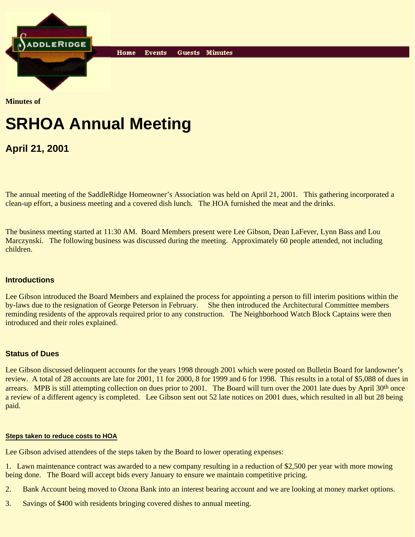

**Minutes of**

# **SRHOA Annual Meeting**

Home

**Events** 

**April 21, 2001**

The annual meeting of the SaddleRidge Homeowner's Association was held on April 21, 2001. This gathering incorporated a clean-up effort, a business meeting and a covered dish lunch. The HOA furnished the meat and the drinks.

Guests Minutes

The business meeting started at 11:30 AM. Board Members present were Lee Gibson, Dean LaFever, Lynn Bass and Lou Marczynski. The following business was discussed during the meeting. Approximately 60 people attended, not including children.

# **Introductions**

Lee Gibson introduced the Board Members and explained the process for appointing a person to fill interim positions within the by-laws due to the resignation of George Peterson in February. She then introduced the Architectural Committee members reminding residents of the approvals required prior to any construction. The Neighborhood Watch Block Captains were then introduced and their roles explained.

# **Status of Dues**

Lee Gibson discussed delinquent accounts for the years 1998 through 2001 which were posted on Bulletin Board for landowner's review. A total of 28 accounts are late for 2001, 11 for 2000, 8 for 1999 and 6 for 1998. This results in a total of \$5,088 of dues in arrears. MPB is still attempting collection on dues prior to 2001. The Board will turn over the 2001 late dues by April 30<sup>th</sup> once a review of a different agency is completed. Lee Gibson sent out 52 late notices on 2001 dues, which resulted in all but 28 being paid.

# **Steps taken to reduce costs to HOA**

Lee Gibson advised attendees of the steps taken by the Board to lower operating expenses:

1. Lawn maintenance contract was awarded to a new company resulting in a reduction of \$2,500 per year with more mowing being done. The Board will accept bids every January to ensure we maintain competitive pricing.

- 2. Bank Account being moved to Ozona Bank into an interest bearing account and we are looking at money market options.
- 3. Savings of \$400 with residents bringing covered dishes to annual meeting.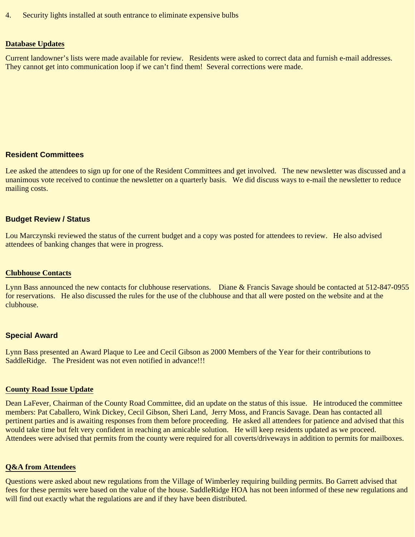4. Security lights installed at south entrance to eliminate expensive bulbs

#### **Database Updates**

Current landowner's lists were made available for review. Residents were asked to correct data and furnish e-mail addresses. They cannot get into communication loop if we can't find them! Several corrections were made.

# **Resident Committees**

Lee asked the attendees to sign up for one of the Resident Committees and get involved. The new newsletter was discussed and a unanimous vote received to continue the newsletter on a quarterly basis. We did discuss ways to e-mail the newsletter to reduce mailing costs.

#### **Budget Review / Status**

Lou Marczynski reviewed the status of the current budget and a copy was posted for attendees to review. He also advised attendees of banking changes that were in progress.

#### **Clubhouse Contacts**

Lynn Bass announced the new contacts for clubhouse reservations. Diane & Francis Savage should be contacted at 512-847-0955 for reservations. He also discussed the rules for the use of the clubhouse and that all were posted on the website and at the clubhouse.

#### **Special Award**

Lynn Bass presented an Award Plaque to Lee and Cecil Gibson as 2000 Members of the Year for their contributions to SaddleRidge. The President was not even notified in advance!!!

#### **County Road Issue Update**

Dean LaFever, Chairman of the County Road Committee, did an update on the status of this issue. He introduced the committee members: Pat Caballero, Wink Dickey, Cecil Gibson, Sheri Land, Jerry Moss, and Francis Savage. Dean has contacted all pertinent parties and is awaiting responses from them before proceeding. He asked all attendees for patience and advised that this would take time but felt very confident in reaching an amicable solution. He will keep residents updated as we proceed. Attendees were advised that permits from the county were required for all coverts/driveways in addition to permits for mailboxes.

#### **Q&A from Attendees**

Questions were asked about new regulations from the Village of Wimberley requiring building permits. Bo Garrett advised that fees for these permits were based on the value of the house. SaddleRidge HOA has not been informed of these new regulations and will find out exactly what the regulations are and if they have been distributed.